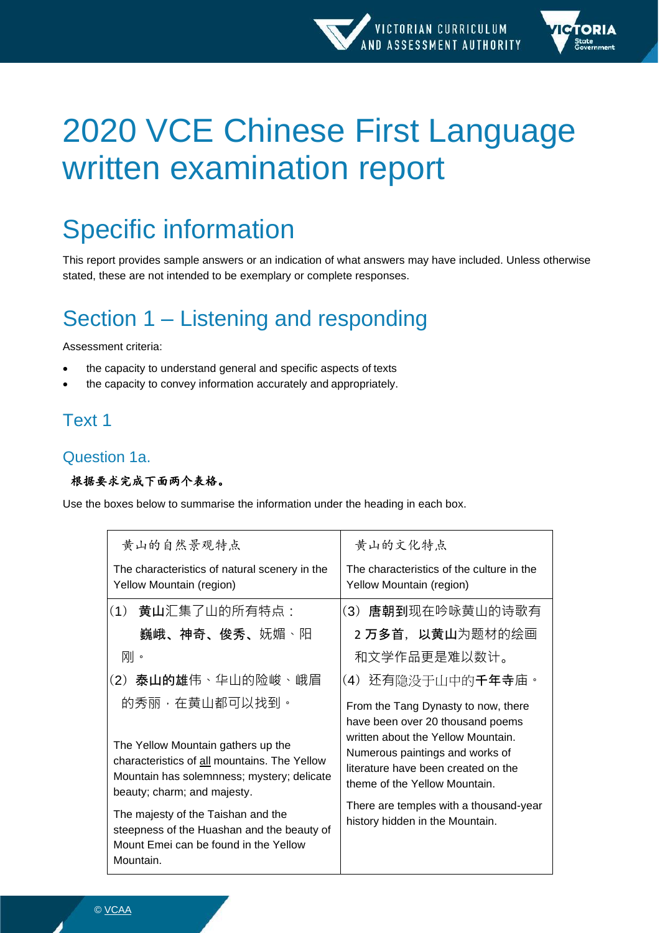

# 2020 VCE Chinese First Language written examination report

## Specific information

This report provides sample answers or an indication of what answers may have included. Unless otherwise stated, these are not intended to be exemplary or complete responses.

## Section 1 – Listening and responding

Assessment criteria:

- the capacity to understand general and specific aspects of texts
- the capacity to convey information accurately and appropriately.

## Text 1

## Question 1a.

#### 根据要求完成下面两个表格。

Use the boxes below to summarise the information under the heading in each box.

| 黄山的自然景观特点                                                                                                                                                                        | 黄山的文化特点                                                                                                                                                                                                                                                            |
|----------------------------------------------------------------------------------------------------------------------------------------------------------------------------------|--------------------------------------------------------------------------------------------------------------------------------------------------------------------------------------------------------------------------------------------------------------------|
| The characteristics of natural scenery in the<br>Yellow Mountain (region)                                                                                                        | The characteristics of the culture in the<br>Yellow Mountain (region)                                                                                                                                                                                              |
| (1) 黄山汇集了山的所有特点:<br>巍峨、神奇、俊秀、妩媚丶阳                                                                                                                                                | (3) 唐朝到现在吟咏黄山的诗歌有<br>2 <b>万多首,以黄山</b> 为题材的绘画                                                                                                                                                                                                                       |
| 刚。                                                                                                                                                                               | 和文学作品更是难以数计。                                                                                                                                                                                                                                                       |
| (2) 泰山的雄伟、华山的险峻、峨眉                                                                                                                                                               | (4)还有隐没干山中的 <b>千年寺</b> 庙。                                                                                                                                                                                                                                          |
| 的秀丽,在黄山都可以找到。<br>The Yellow Mountain gathers up the<br>characteristics of all mountains. The Yellow<br>Mountain has solemnness; mystery; delicate<br>beauty; charm; and majesty. | From the Tang Dynasty to now, there<br>have been over 20 thousand poems<br>written about the Yellow Mountain.<br>Numerous paintings and works of<br>literature have been created on the<br>theme of the Yellow Mountain.<br>There are temples with a thousand-year |
| The majesty of the Taishan and the<br>steepness of the Huashan and the beauty of<br>Mount Emei can be found in the Yellow<br>Mountain.                                           | history hidden in the Mountain.                                                                                                                                                                                                                                    |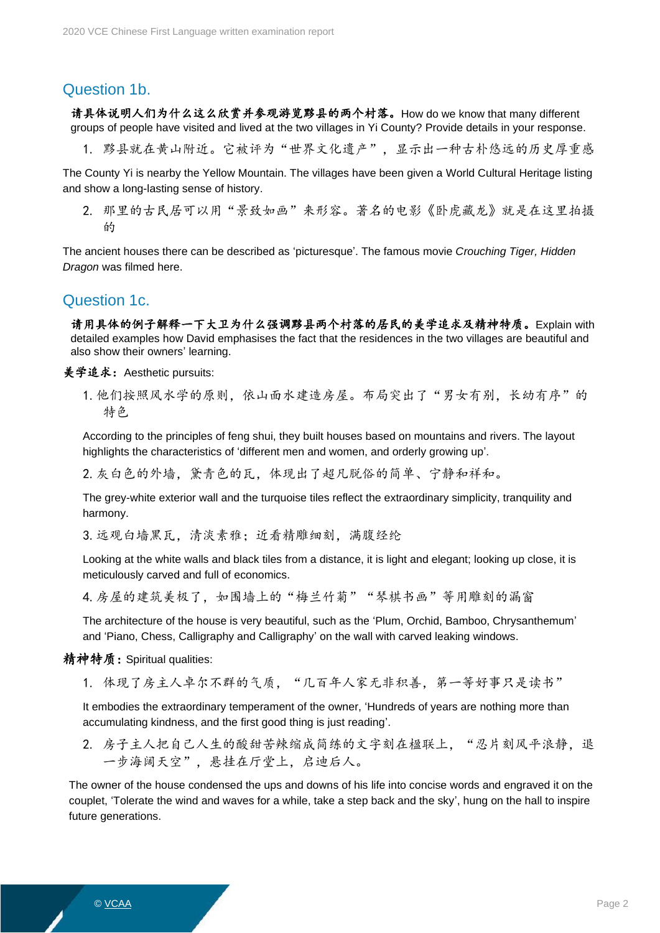### Question 1b.

请具体说明人们为什么这么欣赏并参观游览黟县的两个村落。How do we know that many different groups of people have visited and lived at the two villages in Yi County? Provide details in your response.

1. 黟县就在黄山附近。它被评为"世界文化遗产",显示出一种古朴悠远的历史厚重感

The County Yi is nearby the Yellow Mountain. The villages have been given a World Cultural Heritage listing and show a long-lasting sense of history.

2. 那里的古民居可以用"景致如画"来形容。著名的电影《卧虎藏龙》就是在这里拍摄 的

The ancient houses there can be described as 'picturesque'. The famous movie *Crouching Tiger, Hidden Dragon* was filmed here.

#### Question 1c.

请用具体的例子解释一下大卫为什么强调黟县两个村落的居民的美学追求及精神特质。Explain with detailed examples how David emphasises the fact that the residences in the two villages are beautiful and also show their owners' learning.

美学追求: Aesthetic pursuits:

1. 他们按照风水学的原则,依山面水建造房屋。布局突出了"男女有别,长幼有序"的 特色

According to the principles of feng shui, they built houses based on mountains and rivers. The layout highlights the characteristics of 'different men and women, and orderly growing up'.

2.灰白色的外墙,黛青色的瓦,体现出了超凡脱俗的简单、宁静和祥和。

The grey-white exterior wall and the turquoise tiles reflect the extraordinary simplicity, tranquility and harmony.

3. 远观白墙黑瓦,清淡素雅;近看精雕细刻,满腹经纶

Looking at the white walls and black tiles from a distance, it is light and elegant; looking up close, it is meticulously carved and full of economics.

4. 房屋的建筑美极了,如围墙上的"梅兰竹菊""琴棋书画"等用雕刻的漏窗

The architecture of the house is very beautiful, such as the 'Plum, Orchid, Bamboo, Chrysanthemum' and 'Piano, Chess, Calligraphy and Calligraphy' on the wall with carved leaking windows.

#### 精神特质: Spiritual qualities:

1. 体现了房主人卓尔不群的气质, "几百年人家无非积善, 第一等好事只是读书"

It embodies the extraordinary temperament of the owner, 'Hundreds of years are nothing more than accumulating kindness, and the first good thing is just reading'.

2. 房子主人把自己人生的酸甜苦辣缩成简练的文字刻在楹联上, "忍片刻风平浪静, 退 一步海阔天空",悬挂在厅堂上,启迪后人。

The owner of the house condensed the ups and downs of his life into concise words and engraved it on the couplet, 'Tolerate the wind and waves for a while, take a step back and the sky', hung on the hall to inspire future generations.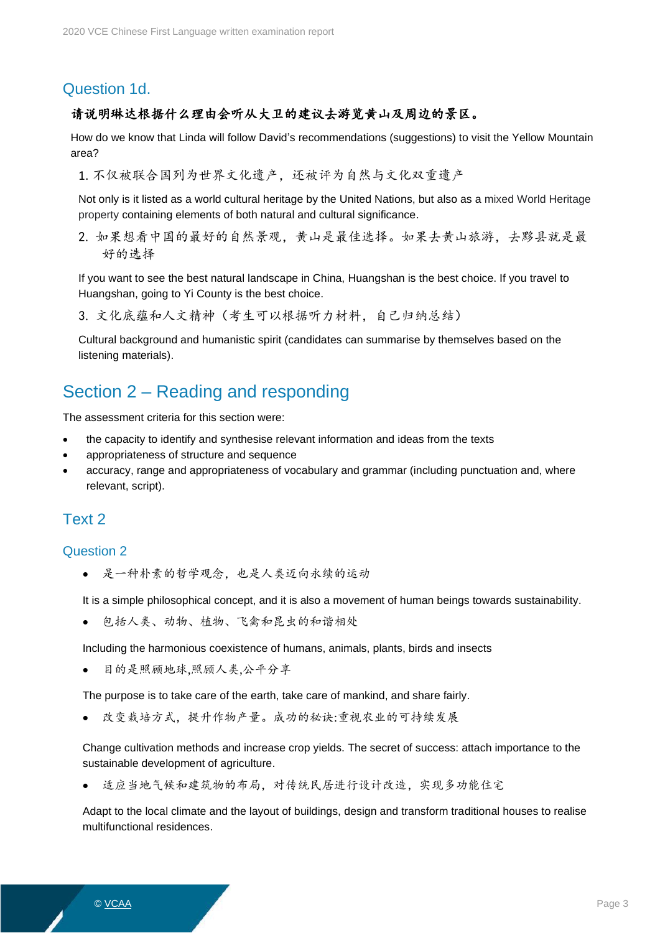## Question 1d.

#### 请说明琳达根据什么理由会听从大卫的建议去游览黄山及周边的景区。

How do we know that Linda will follow David's recommendations (suggestions) to visit the Yellow Mountain area?

1. 不仅被联合国列为世界文化遗产,还被评为自然与文化双重遗产

Not only is it listed as a world cultural heritage by the United Nations, but also as a mixed World Heritage property containing elements of both natural and cultural significance.

2. 如果想看中国的最好的自然景观,黄山是最佳选择。如果去黄山旅游,去黟县就是最 好的选择

If you want to see the best natural landscape in China, Huangshan is the best choice. If you travel to Huangshan, going to Yi County is the best choice.

3. 文化底蕴和人文精神(考生可以根据听力材料,自己归纳总结)

Cultural background and humanistic spirit (candidates can summarise by themselves based on the listening materials).

## Section 2 – Reading and responding

The assessment criteria for this section were:

- the capacity to identify and synthesise relevant information and ideas from the texts
- appropriateness of structure and sequence
- accuracy, range and appropriateness of vocabulary and grammar (including punctuation and, where relevant, script).

### Text 2

#### Question 2

• 是一种朴素的哲学观念,也是人类迈向永续的运动

It is a simple philosophical concept, and it is also a movement of human beings towards sustainability.

包括人类、动物、植物、飞禽和昆虫的和谐相处

Including the harmonious coexistence of humans, animals, plants, birds and insects

目的是照顾地球,照顾人类,公平分享

The purpose is to take care of the earth, take care of mankind, and share fairly.

改变栽培方式, 提升作物产量。成功的秘诀:重视农业的可持续发展

Change cultivation methods and increase crop yields. The secret of success: attach importance to the sustainable development of agriculture.

适应当地气候和建筑物的布局,对传统民居进行设计改造,实现多功能住宅

Adapt to the local climate and the layout of buildings, design and transform traditional houses to realise multifunctional residences.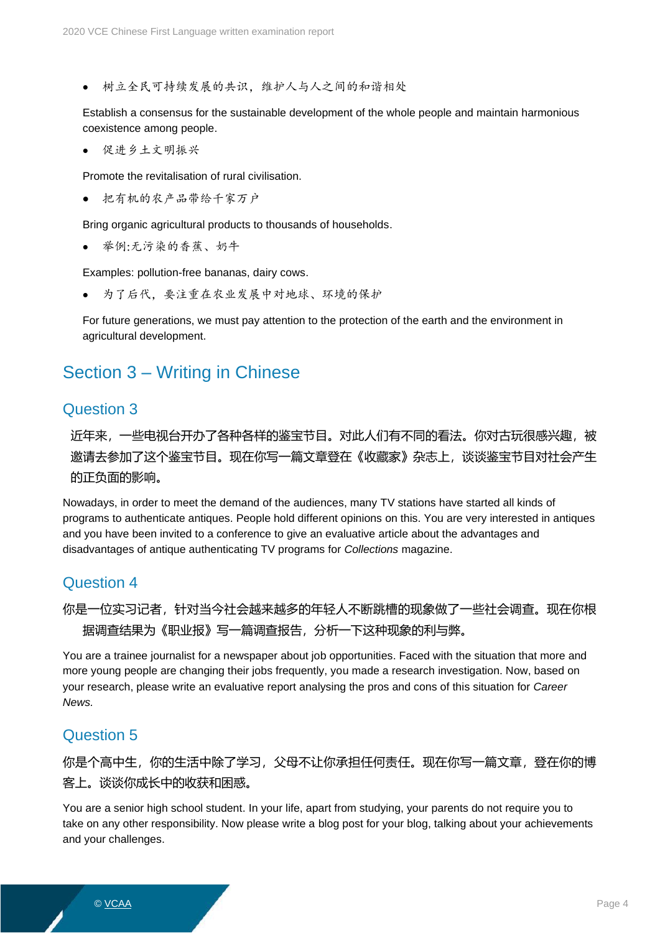• 树立全民可持续发展的共识,维护人与人之间的和谐相处

Establish a consensus for the sustainable development of the whole people and maintain harmonious coexistence among people.

• 促进乡土文明振兴

Promote the revitalisation of rural civilisation.

• 把有机的农产品带给千家万户

Bring organic agricultural products to thousands of households.

举例:无污染的香蕉、奶牛

Examples: pollution-free bananas, dairy cows.

为了后代,要注重在农业发展中对地球、环境的保护

For future generations, we must pay attention to the protection of the earth and the environment in agricultural development.

## Section 3 – Writing in Chinese

#### Question 3

近年来,一些电视台开办了各种各样的鉴宝节目。对此人们有不同的看法。你对古玩很感兴趣,被 邀请去参加了这个鉴宝节目。现在你写一篇文章登在《收藏家》杂志上,谈谈鉴宝节目对社会产生 的正负面的影响。

Nowadays, in order to meet the demand of the audiences, many TV stations have started all kinds of programs to authenticate antiques. People hold different opinions on this. You are very interested in antiques and you have been invited to a conference to give an evaluative article about the advantages and disadvantages of antique authenticating TV programs for *Collections* magazine.

## Question 4

你是一位实习记者,针对当今社会越来越多的年轻人不断跳槽的现象做了一些社会调查。现在你根 据调查结果为《职业报》写一篇调查报告,分析一下这种现象的利与弊。

You are a trainee journalist for a newspaper about job opportunities. Faced with the situation that more and more young people are changing their jobs frequently, you made a research investigation. Now, based on your research, please write an evaluative report analysing the pros and cons of this situation for *Career News.*

## Question 5

你是个高中生,你的生活中除了学习,父母不让你承担任何责任。现在你写一篇文章,登在你的博 客上。谈谈你成长中的收获和困惑。

You are a senior high school student. In your life, apart from studying, your parents do not require you to take on any other responsibility. Now please write a blog post for your blog, talking about your achievements and your challenges.

© <u>VCAA</u> Page 4